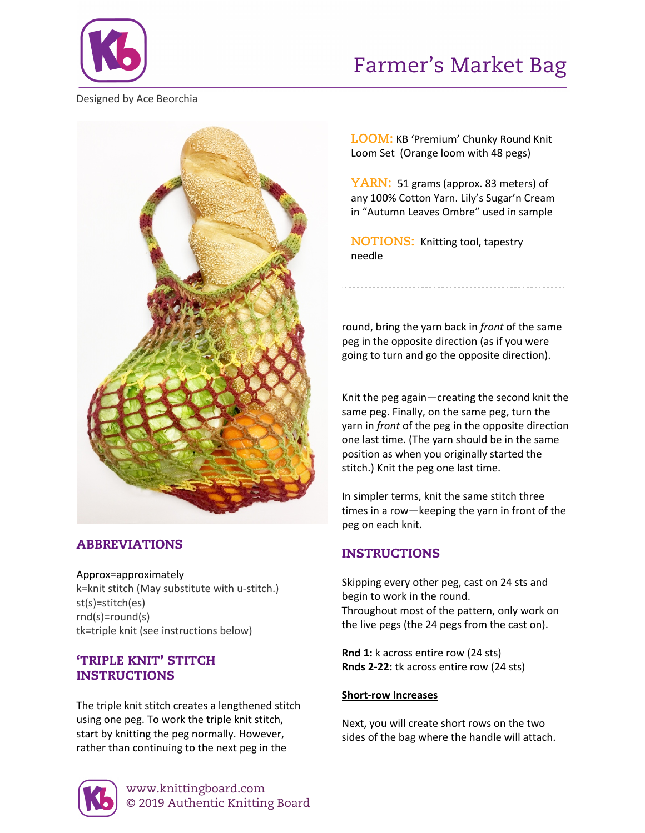

# Farmer's Market Bag

Designed by Ace Beorchia



## ABBREVIATIONS

Approx=approximately k=knit stitch (May substitute with u-stitch.) st(s)=stitch(es) rnd(s)=round(s) tk=triple knit (see instructions below)

## 'TRIPLE KNIT' STITCH INSTRUCTIONS

The triple knit stitch creates a lengthened stitch using one peg. To work the triple knit stitch, start by knitting the peg normally. However, rather than continuing to the next peg in the

**LOOM:** KB 'Premium' Chunky Round Knit Loom Set (Orange loom with 48 pegs)

YARN: 51 grams (approx. 83 meters) of any 100% Cotton Yarn. Lily's Sugar'n Cream in "Autumn Leaves Ombre" used in sample

**NOTIONS:** Knitting tool, tapestry needle

round, bring the yarn back in *front* of the same peg in the opposite direction (as if you were going to turn and go the opposite direction).

Knit the peg again—creating the second knit the same peg. Finally, on the same peg, turn the yarn in *front* of the peg in the opposite direction one last time. (The yarn should be in the same position as when you originally started the stitch.) Knit the peg one last time.

In simpler terms, knit the same stitch three times in a row—keeping the yarn in front of the peg on each knit.

## INSTRUCTIONS

Skipping every other peg, cast on 24 sts and begin to work in the round. Throughout most of the pattern, only work on the live pegs (the 24 pegs from the cast on).

**Rnd 1:** k across entire row (24 sts) **Rnds 2-22:** tk across entire row (24 sts)

#### **Short-row Increases**

Next, you will create short rows on the two sides of the bag where the handle will attach.